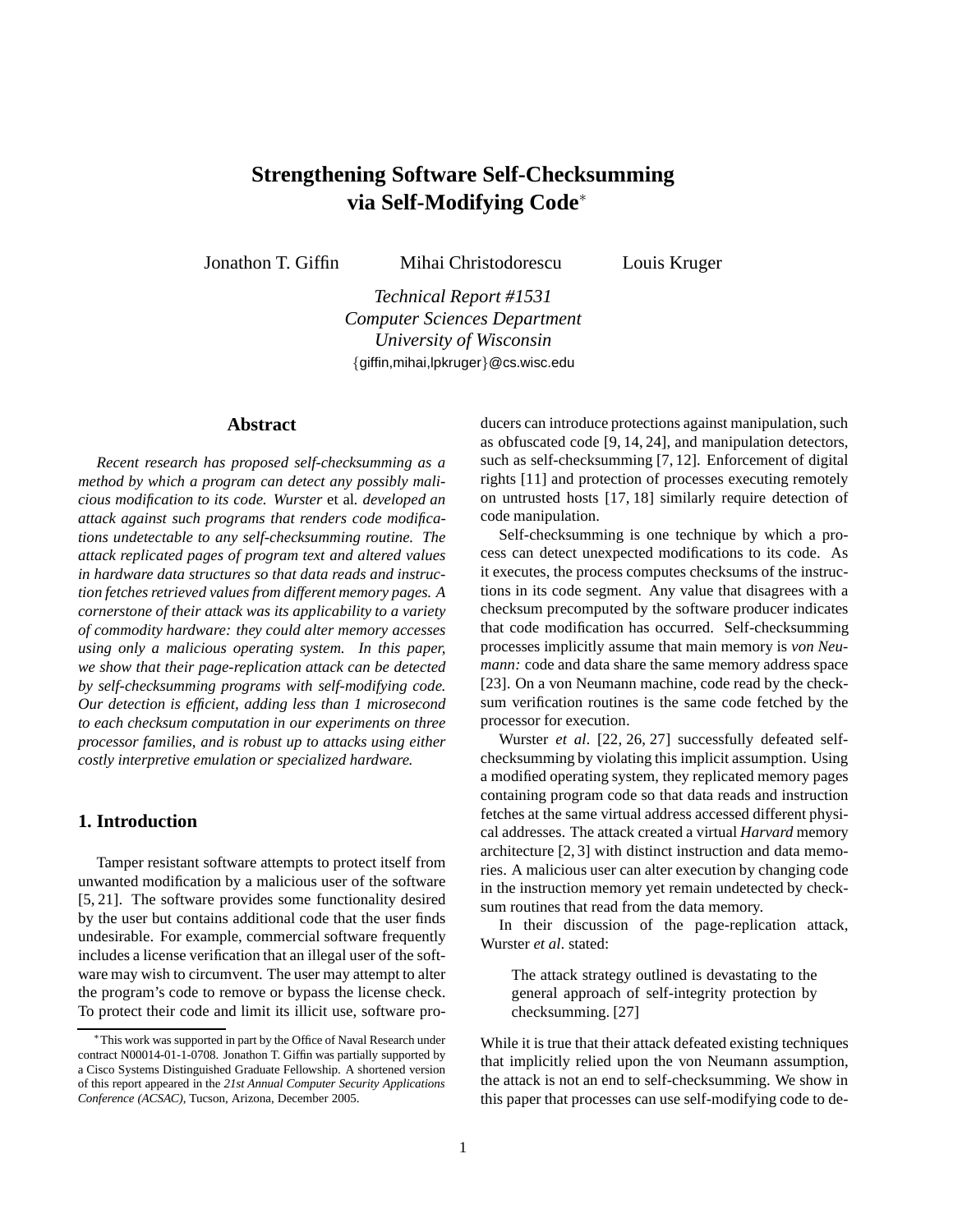# **Strengthening Software Self-Checksumming via Self-Modifying Code**<sup>∗</sup>

Jonathon T. Giffin Mihai Christodorescu Louis Kruger

*Technical Report #1531 Computer Sciences Department University of Wisconsin* {giffin,mihai,lpkruger}@cs.wisc.edu

#### **Abstract**

*Recent research has proposed self-checksumming as a method by which a program can detect any possibly malicious modification to its code. Wurster* et al*. developed an attack against such programs that renders code modifications undetectable to any self-checksumming routine. The attack replicated pages of program text and altered values in hardware data structures so that data reads and instruction fetches retrieved values from different memory pages. A cornerstone of their attack was its applicability to a variety of commodity hardware: they could alter memory accesses using only a malicious operating system. In this paper, we show that their page-replication attack can be detected by self-checksumming programs with self-modifying code. Our detection is efficient, adding less than 1 microsecond to each checksum computation in our experiments on three processor families, and is robust up to attacks using either costly interpretive emulation or specialized hardware.*

# **1. Introduction**

Tamper resistant software attempts to protect itself from unwanted modification by a malicious user of the software [5, 21]. The software provides some functionality desired by the user but contains additional code that the user finds undesirable. For example, commercial software frequently includes a license verification that an illegal user of the software may wish to circumvent. The user may attempt to alter the program's code to remove or bypass the license check. To protect their code and limit its illicit use, software producers can introduce protections against manipulation, such as obfuscated code [9, 14, 24], and manipulation detectors, such as self-checksumming [7, 12]. Enforcement of digital rights [11] and protection of processes executing remotely on untrusted hosts [17, 18] similarly require detection of code manipulation.

Self-checksumming is one technique by which a process can detect unexpected modifications to its code. As it executes, the process computes checksums of the instructions in its code segment. Any value that disagrees with a checksum precomputed by the software producer indicates that code modification has occurred. Self-checksumming processes implicitly assume that main memory is *von Neumann:* code and data share the same memory address space [23]. On a von Neumann machine, code read by the checksum verification routines is the same code fetched by the processor for execution.

Wurster *et al*. [22, 26, 27] successfully defeated selfchecksumming by violating this implicit assumption. Using a modified operating system, they replicated memory pages containing program code so that data reads and instruction fetches at the same virtual address accessed different physical addresses. The attack created a virtual *Harvard* memory architecture [2, 3] with distinct instruction and data memories. A malicious user can alter execution by changing code in the instruction memory yet remain undetected by checksum routines that read from the data memory.

In their discussion of the page-replication attack, Wurster *et al*. stated:

The attack strategy outlined is devastating to the general approach of self-integrity protection by checksumming. [27]

While it is true that their attack defeated existing techniques that implicitly relied upon the von Neumann assumption, the attack is not an end to self-checksumming. We show in this paper that processes can use self-modifying code to de-

<sup>∗</sup>This work was supported in part by the Office of Naval Research under contract N00014-01-1-0708. Jonathon T. Giffin was partially supported by a Cisco Systems Distinguished Graduate Fellowship. A shortened version of this report appeared in the *21st Annual Computer Security Applications Conference (ACSAC)*, Tucson, Arizona, December 2005.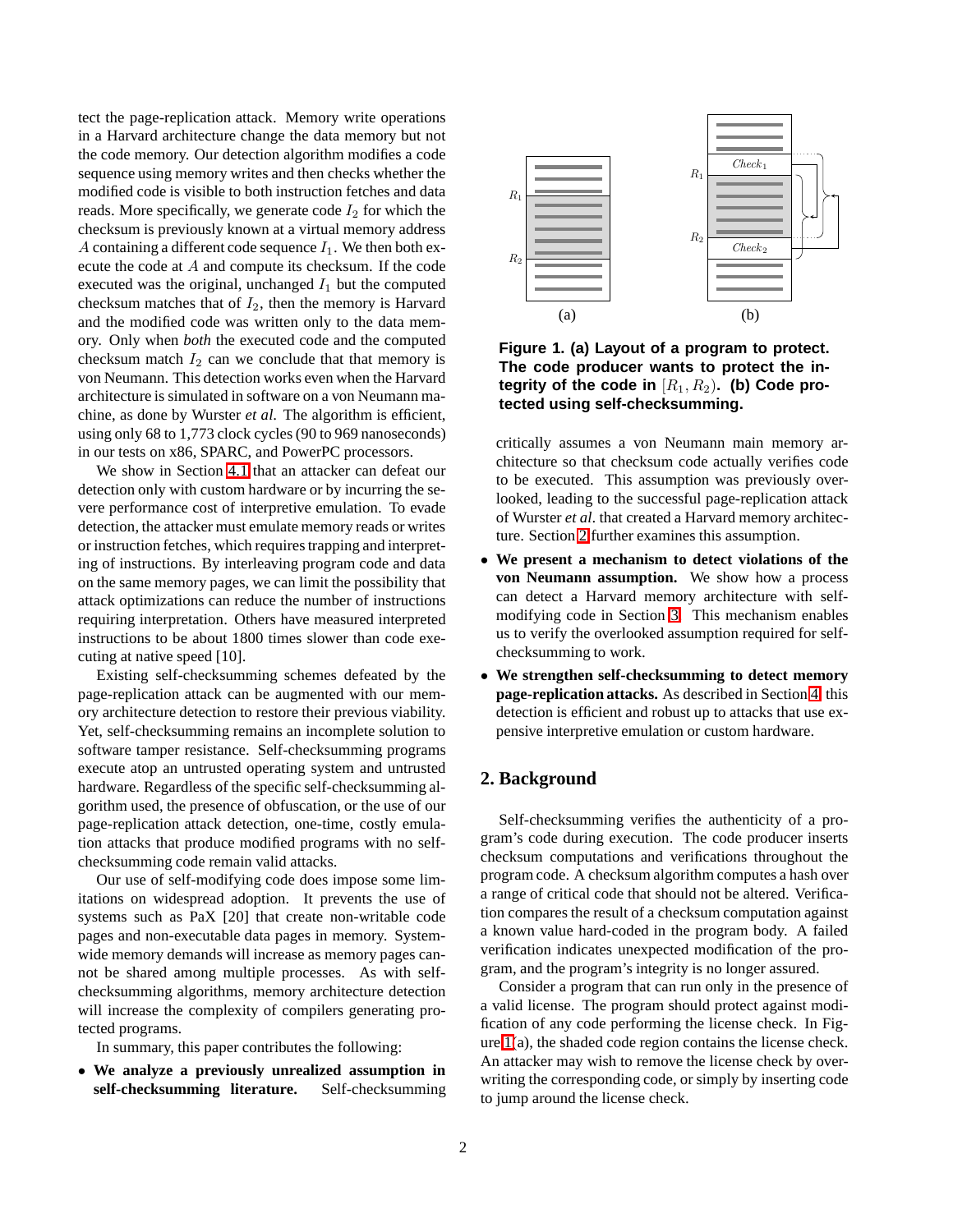tect the page-replication attack. Memory write operations in a Harvard architecture change the data memory but not the code memory. Our detection algorithm modifies a code sequence using memory writes and then checks whether the modified code is visible to both instruction fetches and data reads. More specifically, we generate code  $I_2$  for which the checksum is previously known at a virtual memory address A containing a different code sequence  $I_1$ . We then both execute the code at A and compute its checksum. If the code executed was the original, unchanged  $I_1$  but the computed checksum matches that of  $I_2$ , then the memory is Harvard and the modified code was written only to the data memory. Only when *both* the executed code and the computed checksum match  $I_2$  can we conclude that that memory is von Neumann. This detection works even when the Harvard architecture is simulated in software on a von Neumann machine, as done by Wurster *et al*. The algorithm is efficient, using only 68 to 1,773 clock cycles (90 to 969 nanoseconds) in our tests on x86, SPARC, and PowerPC processors.

We show in Section [4.1](#page-6-0) that an attacker can defeat our detection only with custom hardware or by incurring the severe performance cost of interpretive emulation. To evade detection, the attacker must emulate memory reads or writes or instruction fetches, which requires trapping and interpreting of instructions. By interleaving program code and data on the same memory pages, we can limit the possibility that attack optimizations can reduce the number of instructions requiring interpretation. Others have measured interpreted instructions to be about 1800 times slower than code executing at native speed [10].

Existing self-checksumming schemes defeated by the page-replication attack can be augmented with our memory architecture detection to restore their previous viability. Yet, self-checksumming remains an incomplete solution to software tamper resistance. Self-checksumming programs execute atop an untrusted operating system and untrusted hardware. Regardless of the specific self-checksumming algorithm used, the presence of obfuscation, or the use of our page-replication attack detection, one-time, costly emulation attacks that produce modified programs with no selfchecksumming code remain valid attacks.

Our use of self-modifying code does impose some limitations on widespread adoption. It prevents the use of systems such as PaX [20] that create non-writable code pages and non-executable data pages in memory. Systemwide memory demands will increase as memory pages cannot be shared among multiple processes. As with selfchecksumming algorithms, memory architecture detection will increase the complexity of compilers generating protected programs.

In summary, this paper contributes the following:

• **We analyze a previously unrealized assumption in self-checksumming literature.** Self-checksumming



<span id="page-1-1"></span>**Figure 1. (a) Layout of a program to protect. The code producer wants to protect the in**tegrity of the code in  $[R_1, R_2)$ . (b) Code pro**tected using self-checksumming.**

critically assumes a von Neumann main memory architecture so that checksum code actually verifies code to be executed. This assumption was previously overlooked, leading to the successful page-replication attack of Wurster *et al*. that created a Harvard memory architecture. Section [2](#page-1-0) further examines this assumption.

- **We present a mechanism to detect violations of the von Neumann assumption.** We show how a process can detect a Harvard memory architecture with selfmodifying code in Section [3.](#page-4-0) This mechanism enables us to verify the overlooked assumption required for selfchecksumming to work.
- **We strengthen self-checksumming to detect memory page-replication attacks.** As described in Section [4,](#page-6-1) this detection is efficient and robust up to attacks that use expensive interpretive emulation or custom hardware.

# <span id="page-1-0"></span>**2. Background**

Self-checksumming verifies the authenticity of a program's code during execution. The code producer inserts checksum computations and verifications throughout the program code. A checksum algorithm computes a hash over a range of critical code that should not be altered. Verification compares the result of a checksum computation against a known value hard-coded in the program body. A failed verification indicates unexpected modification of the program, and the program's integrity is no longer assured.

Consider a program that can run only in the presence of a valid license. The program should protect against modification of any code performing the license check. In Figure [1\(](#page-1-1)a), the shaded code region contains the license check. An attacker may wish to remove the license check by overwriting the corresponding code, or simply by inserting code to jump around the license check.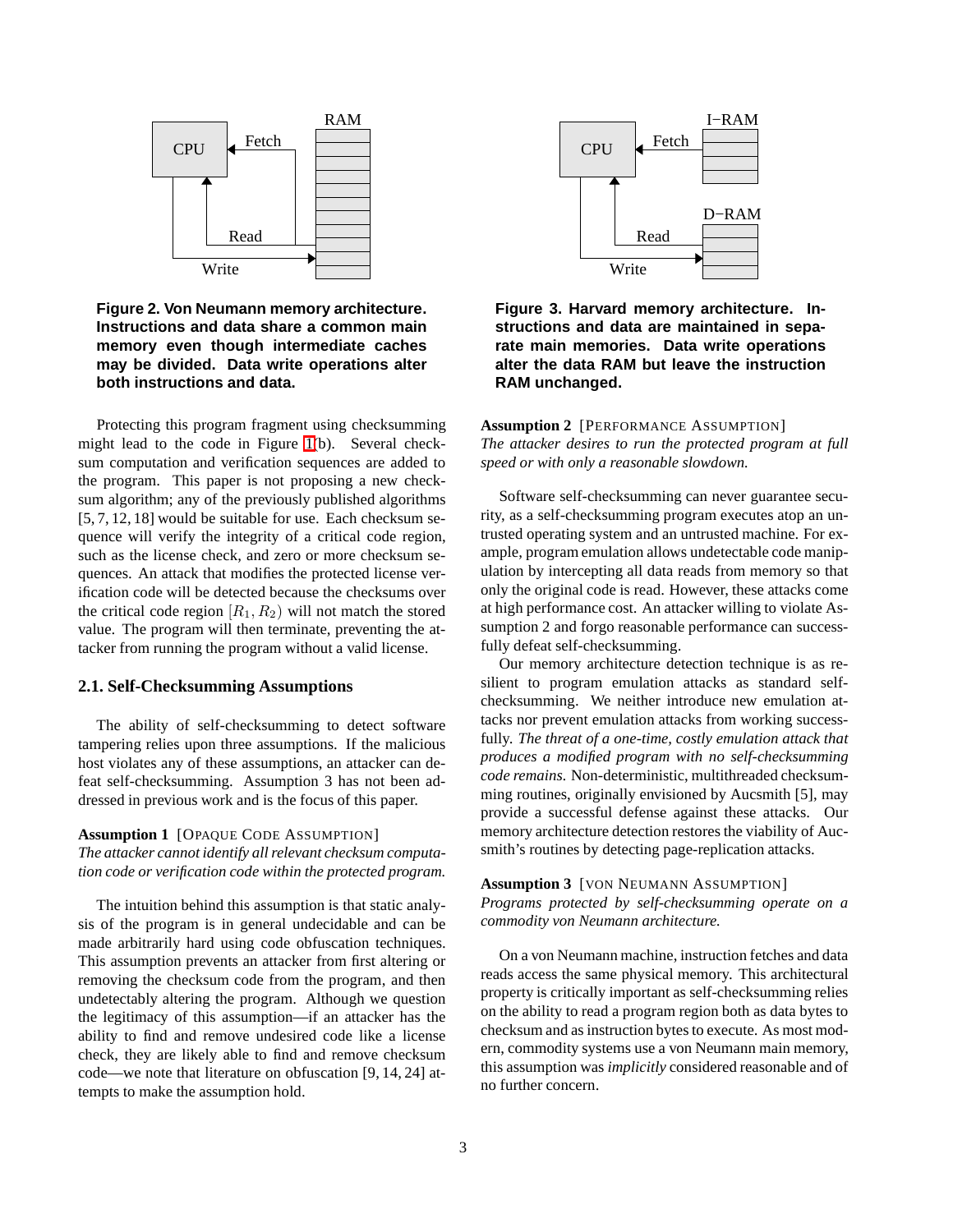

# <span id="page-2-0"></span>**Figure 2. Von Neumann memory architecture. Instructions and data share a common main memory even though intermediate caches may be divided. Data write operations alter both instructions and data.**

Protecting this program fragment using checksumming might lead to the code in Figure [1\(](#page-1-1)b). Several checksum computation and verification sequences are added to the program. This paper is not proposing a new checksum algorithm; any of the previously published algorithms [5, 7, 12, 18] would be suitable for use. Each checksum sequence will verify the integrity of a critical code region, such as the license check, and zero or more checksum sequences. An attack that modifies the protected license verification code will be detected because the checksums over the critical code region  $[R_1, R_2)$  will not match the stored value. The program will then terminate, preventing the attacker from running the program without a valid license.

## <span id="page-2-2"></span>**2.1. Self-Checksumming Assumptions**

The ability of self-checksumming to detect software tampering relies upon three assumptions. If the malicious host violates any of these assumptions, an attacker can defeat self-checksumming. Assumption 3 has not been addressed in previous work and is the focus of this paper.

#### **Assumption 1** [OPAQUE CODE ASSUMPTION] *The attacker cannot identify all relevant checksum computation code or verification code within the protected program.*

The intuition behind this assumption is that static analysis of the program is in general undecidable and can be made arbitrarily hard using code obfuscation techniques. This assumption prevents an attacker from first altering or removing the checksum code from the program, and then undetectably altering the program. Although we question the legitimacy of this assumption—if an attacker has the ability to find and remove undesired code like a license check, they are likely able to find and remove checksum code—we note that literature on obfuscation [9, 14, 24] attempts to make the assumption hold.



<span id="page-2-1"></span>**Figure 3. Harvard memory architecture. Instructions and data are maintained in separate main memories. Data write operations alter the data RAM but leave the instruction RAM unchanged.**

**Assumption 2** [PERFORMANCE ASSUMPTION] *The attacker desires to run the protected program at full speed or with only a reasonable slowdown.*

Software self-checksumming can never guarantee security, as a self-checksumming program executes atop an untrusted operating system and an untrusted machine. For example, program emulation allows undetectable code manipulation by intercepting all data reads from memory so that only the original code is read. However, these attacks come at high performance cost. An attacker willing to violate Assumption 2 and forgo reasonable performance can successfully defeat self-checksumming.

Our memory architecture detection technique is as resilient to program emulation attacks as standard selfchecksumming. We neither introduce new emulation attacks nor prevent emulation attacks from working successfully. *The threat of a one-time, costly emulation attack that produces a modified program with no self-checksumming code remains.* Non-deterministic, multithreaded checksumming routines, originally envisioned by Aucsmith [5], may provide a successful defense against these attacks. Our memory architecture detection restores the viability of Aucsmith's routines by detecting page-replication attacks.

#### **Assumption 3** [VON NEUMANN ASSUMPTION] *Programs protected by self-checksumming operate on a commodity von Neumann architecture.*

On a von Neumann machine, instruction fetches and data reads access the same physical memory. This architectural property is critically important as self-checksumming relies on the ability to read a program region both as data bytes to checksum and as instruction bytes to execute. As most modern, commodity systems use a von Neumann main memory, this assumption was *implicitly* considered reasonable and of no further concern.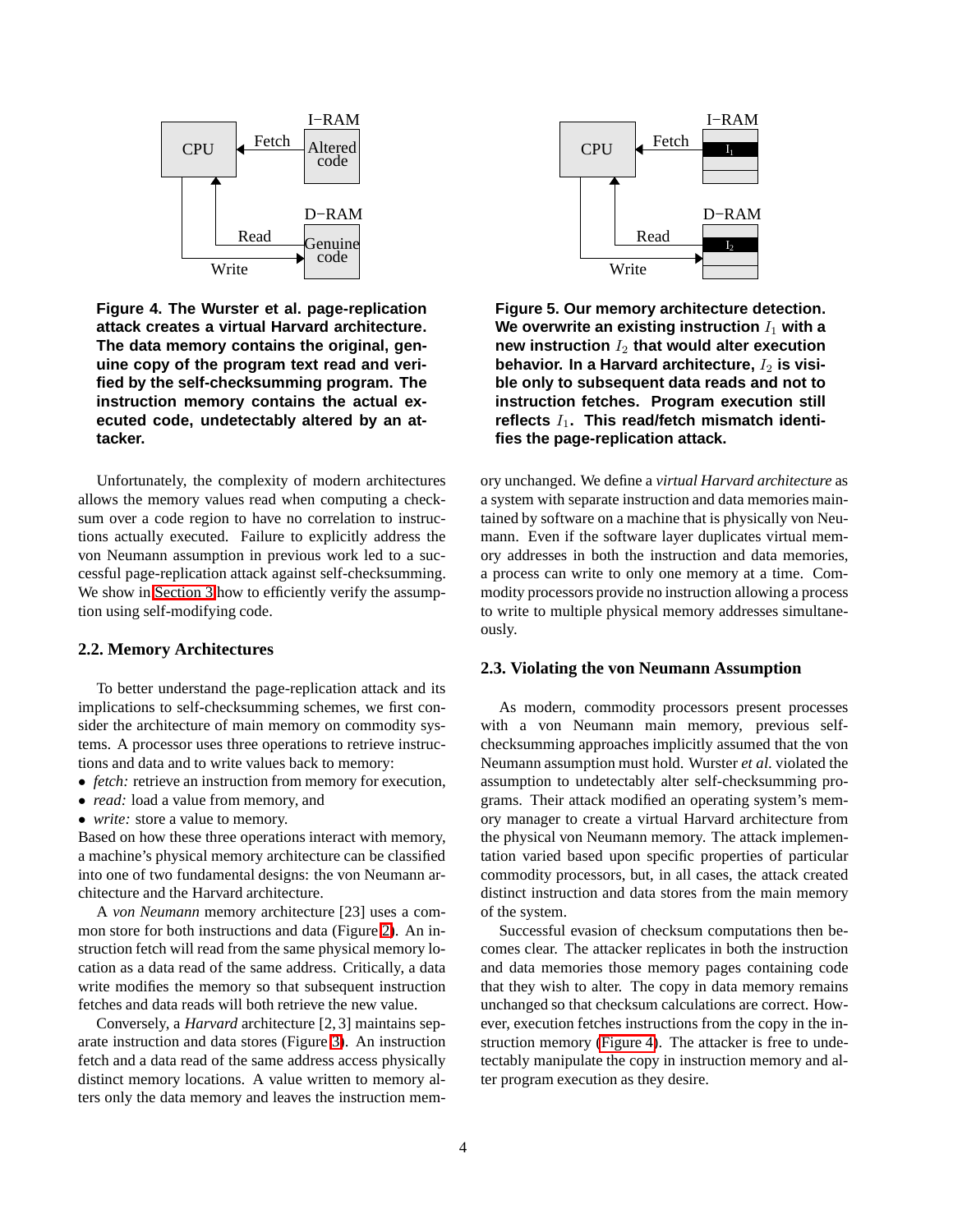

<span id="page-3-0"></span>**Figure 4. The Wurster et al. page-replication attack creates a virtual Harvard architecture. The data memory contains the original, genuine copy of the program text read and verified by the self-checksumming program. The instruction memory contains the actual executed code, undetectably altered by an attacker.**

Unfortunately, the complexity of modern architectures allows the memory values read when computing a checksum over a code region to have no correlation to instructions actually executed. Failure to explicitly address the von Neumann assumption in previous work led to a successful page-replication attack against self-checksumming. We show in [Section 3](#page-4-0) how to efficiently verify the assumption using self-modifying code.

#### **2.2. Memory Architectures**

To better understand the page-replication attack and its implications to self-checksumming schemes, we first consider the architecture of main memory on commodity systems. A processor uses three operations to retrieve instructions and data and to write values back to memory:

- *fetch:* retrieve an instruction from memory for execution,
- *read:* load a value from memory, and
- *write:* store a value to memory.

Based on how these three operations interact with memory, a machine's physical memory architecture can be classified into one of two fundamental designs: the von Neumann architecture and the Harvard architecture.

A *von Neumann* memory architecture [23] uses a common store for both instructions and data (Figure [2\)](#page-2-0). An instruction fetch will read from the same physical memory location as a data read of the same address. Critically, a data write modifies the memory so that subsequent instruction fetches and data reads will both retrieve the new value.

Conversely, a *Harvard* architecture [2, 3] maintains separate instruction and data stores (Figure [3\)](#page-2-1). An instruction fetch and a data read of the same address access physically distinct memory locations. A value written to memory alters only the data memory and leaves the instruction mem-



<span id="page-3-1"></span>**Figure 5. Our memory architecture detection.** We overwrite an existing instruction  $I_1$  with a **new instruction** I<sup>2</sup> **that would alter execution** behavior. In a Harvard architecture,  $I_2$  is visi**ble only to subsequent data reads and not to instruction fetches. Program execution still** reflects  $I_1$ . This read/fetch mismatch identi**fies the page-replication attack.**

ory unchanged. We define a *virtual Harvard architecture* as a system with separate instruction and data memories maintained by software on a machine that is physically von Neumann. Even if the software layer duplicates virtual memory addresses in both the instruction and data memories, a process can write to only one memory at a time. Commodity processors provide no instruction allowing a process to write to multiple physical memory addresses simultaneously.

#### **2.3. Violating the von Neumann Assumption**

As modern, commodity processors present processes with a von Neumann main memory, previous selfchecksumming approaches implicitly assumed that the von Neumann assumption must hold. Wurster *et al*. violated the assumption to undetectably alter self-checksumming programs. Their attack modified an operating system's memory manager to create a virtual Harvard architecture from the physical von Neumann memory. The attack implementation varied based upon specific properties of particular commodity processors, but, in all cases, the attack created distinct instruction and data stores from the main memory of the system.

Successful evasion of checksum computations then becomes clear. The attacker replicates in both the instruction and data memories those memory pages containing code that they wish to alter. The copy in data memory remains unchanged so that checksum calculations are correct. However, execution fetches instructions from the copy in the instruction memory [\(Figure 4\)](#page-3-0). The attacker is free to undetectably manipulate the copy in instruction memory and alter program execution as they desire.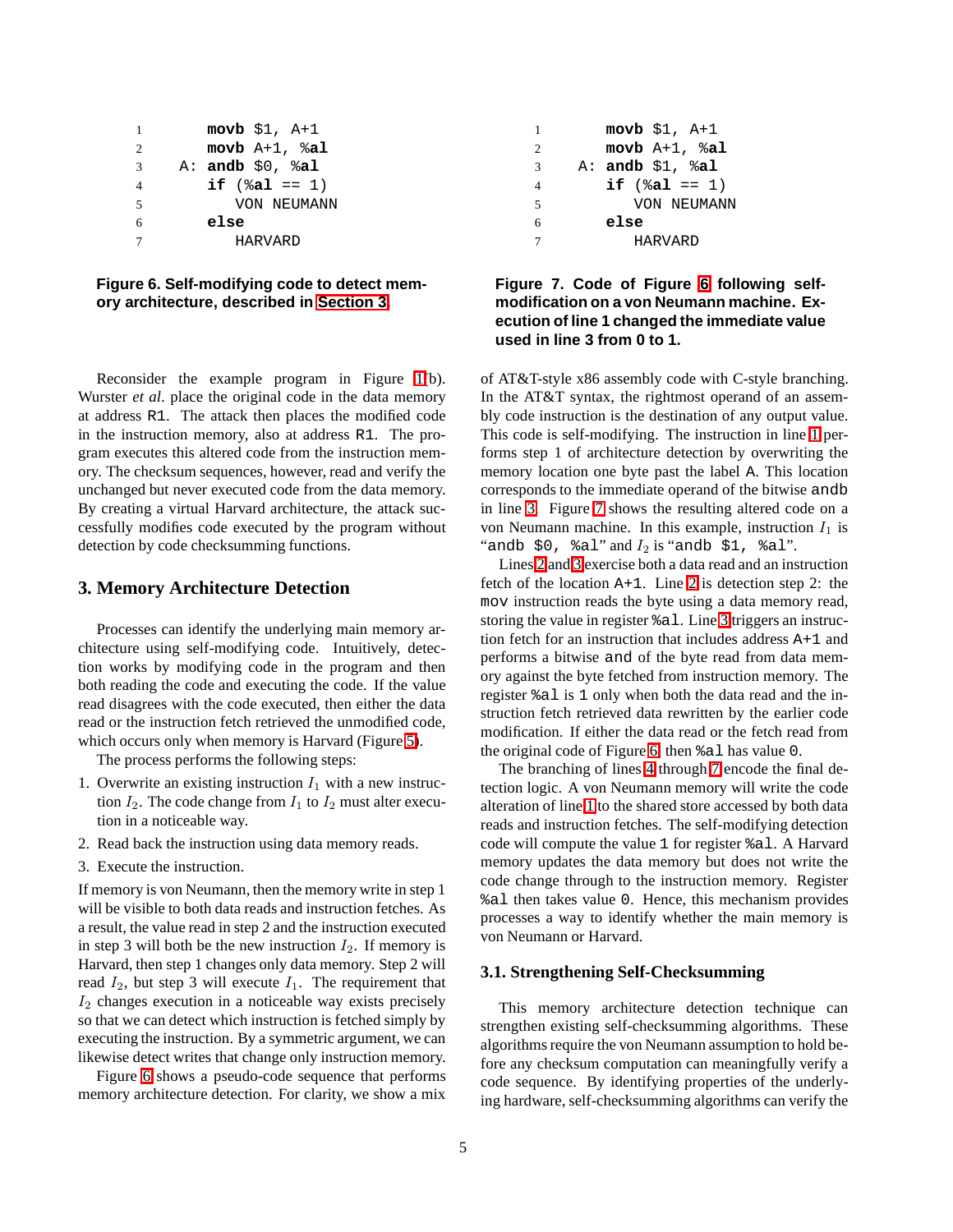<span id="page-4-6"></span><span id="page-4-5"></span><span id="page-4-3"></span><span id="page-4-2"></span>

|                | $movb$ \$1, $A+1$         |  |  |  |  |
|----------------|---------------------------|--|--|--|--|
| 2              | $movb A+1$ , $\delta a$ l |  |  |  |  |
| $\mathcal{R}$  | A: andb $$0, $a1$         |  |  |  |  |
| $\overline{4}$ | if $(\frac{1}{2}a1 == 1)$ |  |  |  |  |
| $\overline{5}$ | VON NEUMANN               |  |  |  |  |
| 6              | else                      |  |  |  |  |
|                | HARVARD                   |  |  |  |  |

<span id="page-4-7"></span><span id="page-4-1"></span>**Figure 6. Self-modifying code to detect memory architecture, described in [Section 3.](#page-4-0)**

Reconsider the example program in Figure [1\(](#page-1-1)b). Wurster *et al*. place the original code in the data memory at address R1. The attack then places the modified code in the instruction memory, also at address R1. The program executes this altered code from the instruction memory. The checksum sequences, however, read and verify the unchanged but never executed code from the data memory. By creating a virtual Harvard architecture, the attack successfully modifies code executed by the program without detection by code checksumming functions.

#### <span id="page-4-0"></span>**3. Memory Architecture Detection**

Processes can identify the underlying main memory architecture using self-modifying code. Intuitively, detection works by modifying code in the program and then both reading the code and executing the code. If the value read disagrees with the code executed, then either the data read or the instruction fetch retrieved the unmodified code, which occurs only when memory is Harvard (Figure [5\)](#page-3-1).

The process performs the following steps:

- 1. Overwrite an existing instruction  $I_1$  with a new instruction  $I_2$ . The code change from  $I_1$  to  $I_2$  must alter execution in a noticeable way.
- 2. Read back the instruction using data memory reads.
- 3. Execute the instruction.

If memory is von Neumann, then the memory write in step 1 will be visible to both data reads and instruction fetches. As a result, the value read in step 2 and the instruction executed in step 3 will both be the new instruction  $I_2$ . If memory is Harvard, then step 1 changes only data memory. Step 2 will read  $I_2$ , but step 3 will execute  $I_1$ . The requirement that  $I_2$  changes execution in a noticeable way exists precisely so that we can detect which instruction is fetched simply by executing the instruction. By a symmetric argument, we can likewise detect writes that change only instruction memory.

Figure [6](#page-4-1) shows a pseudo-code sequence that performs memory architecture detection. For clarity, we show a mix

| 1              | $movb$ \$1, $A+1$         |  |  |  |
|----------------|---------------------------|--|--|--|
| $\overline{c}$ | movb $A+1$ , $a1$         |  |  |  |
| 3              | A: andb $$1, $a1$         |  |  |  |
| 4              | if $(\frac{1}{2}a1 == 1)$ |  |  |  |
| 5              | VON NEUMANN               |  |  |  |
| 6              | else                      |  |  |  |
| 7              | HARVARD                   |  |  |  |
|                |                           |  |  |  |

# <span id="page-4-4"></span>**Figure 7. Code of Figure [6](#page-4-1) following selfmodification on a von Neumann machine. Execution of line 1 changed the immediate value used in line 3 from 0 to 1.**

of AT&T-style x86 assembly code with C-style branching. In the AT&T syntax, the rightmost operand of an assembly code instruction is the destination of any output value. This code is self-modifying. The instruction in line [1](#page-4-2) performs step 1 of architecture detection by overwriting the memory location one byte past the label A. This location corresponds to the immediate operand of the bitwise andb in line [3.](#page-4-3) Figure [7](#page-4-4) shows the resulting altered code on a von Neumann machine. In this example, instruction  $I_1$  is "andb  $$0$ ,  $\$$ al" and  $I_2$  is "andb  $$1$ ,  $\$$ al".

Lines [2](#page-4-5) and [3](#page-4-3) exercise both a data read and an instruction fetch of the location A+1. Line [2](#page-4-5) is detection step 2: the mov instruction reads the byte using a data memory read, storing the value in register %al. Line [3](#page-4-3) triggers an instruction fetch for an instruction that includes address A+1 and performs a bitwise and of the byte read from data memory against the byte fetched from instruction memory. The register %al is 1 only when both the data read and the instruction fetch retrieved data rewritten by the earlier code modification. If either the data read or the fetch read from the original code of Figure [6,](#page-4-1) then %al has value 0.

The branching of lines [4](#page-4-6) through [7](#page-4-7) encode the final detection logic. A von Neumann memory will write the code alteration of line [1](#page-4-2) to the shared store accessed by both data reads and instruction fetches. The self-modifying detection code will compute the value 1 for register %al. A Harvard memory updates the data memory but does not write the code change through to the instruction memory. Register %al then takes value 0. Hence, this mechanism provides processes a way to identify whether the main memory is von Neumann or Harvard.

#### **3.1. Strengthening Self-Checksumming**

This memory architecture detection technique can strengthen existing self-checksumming algorithms. These algorithms require the von Neumann assumption to hold before any checksum computation can meaningfully verify a code sequence. By identifying properties of the underlying hardware, self-checksumming algorithms can verify the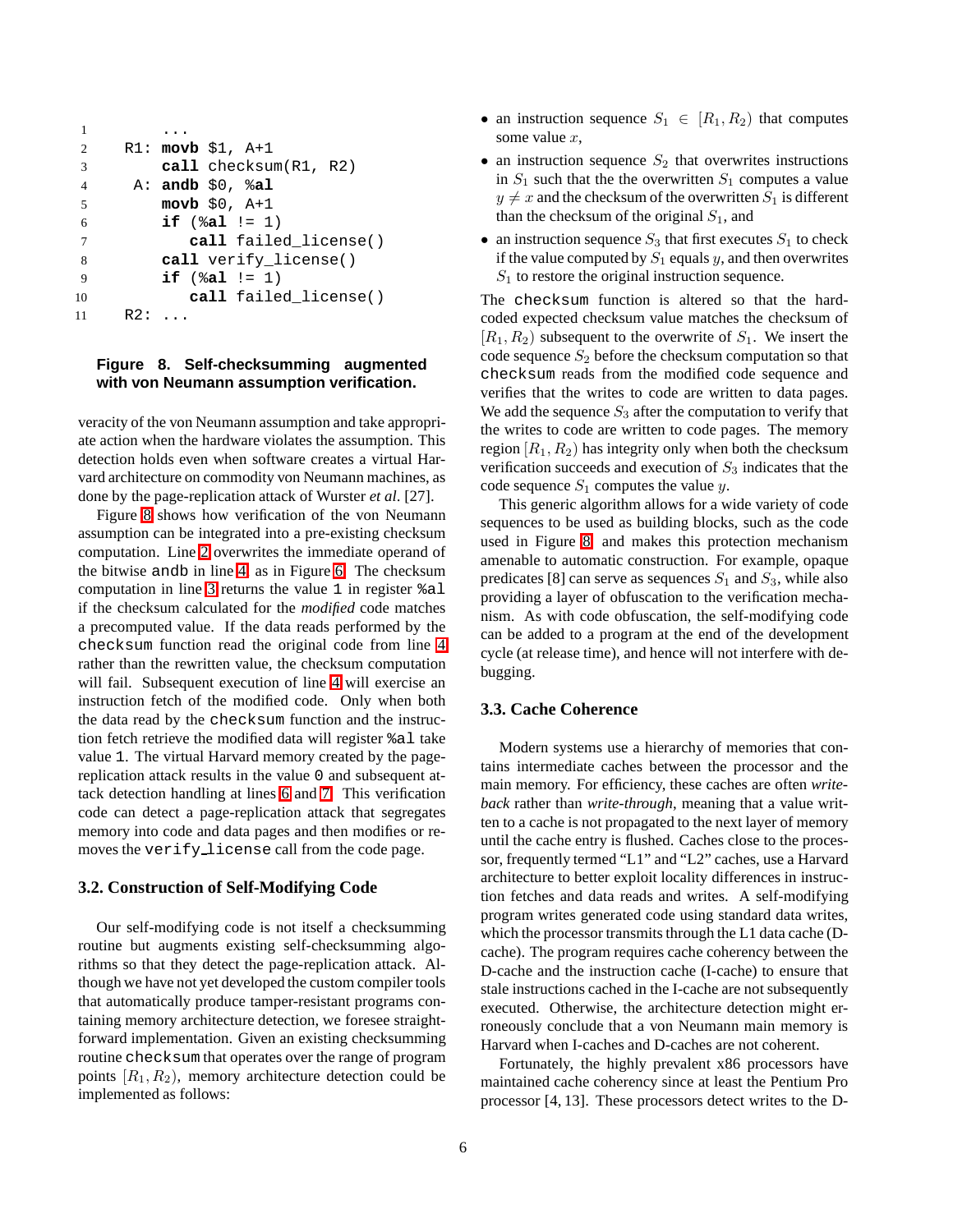```
1 ...
2 R1: movb $1, A+1
3 call checksum(R1, R2)
4 A: andb $0, %al
5 movb $0, A+1
6 if (%al != 1)
7 call failed_license()
8 call verify_license()
9 if (%al != 1)
10 call failed_license()
11 R2: ...
```
#### <span id="page-5-0"></span>**Figure 8. Self-checksumming augmented with von Neumann assumption verification.**

veracity of the von Neumann assumption and take appropriate action when the hardware violates the assumption. This detection holds even when software creates a virtual Harvard architecture on commodity von Neumann machines, as done by the page-replication attack of Wurster *et al*. [27].

Figure [8](#page-5-0) shows how verification of the von Neumann assumption can be integrated into a pre-existing checksum computation. Line [2](#page-5-1) overwrites the immediate operand of the bitwise andb in line [4,](#page-5-2) as in Figure [6.](#page-4-1) The checksum computation in line [3](#page-5-3) returns the value 1 in register %al if the checksum calculated for the *modified* code matches a precomputed value. If the data reads performed by the checksum function read the original code from line [4](#page-5-2) rather than the rewritten value, the checksum computation will fail. Subsequent execution of line [4](#page-5-2) will exercise an instruction fetch of the modified code. Only when both the data read by the checksum function and the instruction fetch retrieve the modified data will register %al take value 1. The virtual Harvard memory created by the pagereplication attack results in the value 0 and subsequent attack detection handling at lines [6](#page-5-4) and [7.](#page-5-5) This verification code can detect a page-replication attack that segregates memory into code and data pages and then modifies or removes the verify license call from the code page.

#### **3.2. Construction of Self-Modifying Code**

Our self-modifying code is not itself a checksumming routine but augments existing self-checksumming algorithms so that they detect the page-replication attack. Although we have not yet developed the custom compiler tools that automatically produce tamper-resistant programs containing memory architecture detection, we foresee straightforward implementation. Given an existing checksumming routine checksum that operates over the range of program points  $[R_1, R_2)$ , memory architecture detection could be implemented as follows:

- an instruction sequence  $S_1 \in [R_1, R_2)$  that computes some value x,
- an instruction sequence  $S_2$  that overwrites instructions in  $S_1$  such that the the overwritten  $S_1$  computes a value  $y \neq x$  and the checksum of the overwritten  $S_1$  is different than the checksum of the original  $S_1$ , and
- an instruction sequence  $S_3$  that first executes  $S_1$  to check if the value computed by  $S_1$  equals y, and then overwrites  $S_1$  to restore the original instruction sequence.

The checksum function is altered so that the hardcoded expected checksum value matches the checksum of  $[R_1, R_2]$  subsequent to the overwrite of  $S_1$ . We insert the code sequence  $S_2$  before the checksum computation so that checksum reads from the modified code sequence and verifies that the writes to code are written to data pages. We add the sequence  $S_3$  after the computation to verify that the writes to code are written to code pages. The memory region  $[R_1, R_2)$  has integrity only when both the checksum verification succeeds and execution of  $S_3$  indicates that the code sequence  $S_1$  computes the value y.

This generic algorithm allows for a wide variety of code sequences to be used as building blocks, such as the code used in Figure [8,](#page-5-0) and makes this protection mechanism amenable to automatic construction. For example, opaque predicates [8] can serve as sequences  $S_1$  and  $S_3$ , while also providing a layer of obfuscation to the verification mechanism. As with code obfuscation, the self-modifying code can be added to a program at the end of the development cycle (at release time), and hence will not interfere with debugging.

#### **3.3. Cache Coherence**

Modern systems use a hierarchy of memories that contains intermediate caches between the processor and the main memory. For efficiency, these caches are often *writeback* rather than *write-through*, meaning that a value written to a cache is not propagated to the next layer of memory until the cache entry is flushed. Caches close to the processor, frequently termed "L1" and "L2" caches, use a Harvard architecture to better exploit locality differences in instruction fetches and data reads and writes. A self-modifying program writes generated code using standard data writes, which the processor transmits through the L1 data cache (Dcache). The program requires cache coherency between the D-cache and the instruction cache (I-cache) to ensure that stale instructions cached in the I-cache are not subsequently executed. Otherwise, the architecture detection might erroneously conclude that a von Neumann main memory is Harvard when I-caches and D-caches are not coherent.

Fortunately, the highly prevalent x86 processors have maintained cache coherency since at least the Pentium Pro processor [4, 13]. These processors detect writes to the D-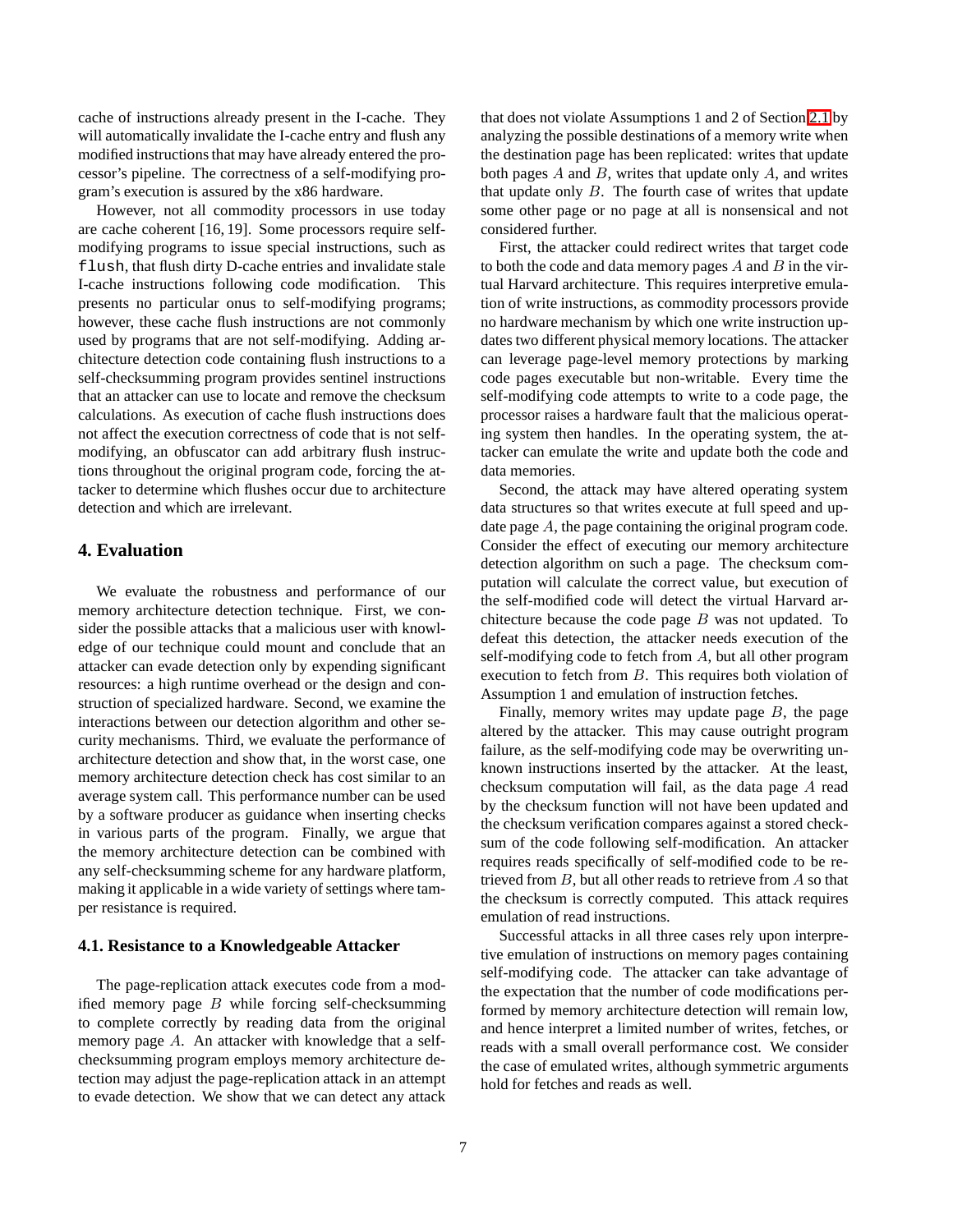cache of instructions already present in the I-cache. They will automatically invalidate the I-cache entry and flush any modified instructions that may have already entered the processor's pipeline. The correctness of a self-modifying program's execution is assured by the x86 hardware.

However, not all commodity processors in use today are cache coherent [16, 19]. Some processors require selfmodifying programs to issue special instructions, such as flush, that flush dirty D-cache entries and invalidate stale I-cache instructions following code modification. This presents no particular onus to self-modifying programs; however, these cache flush instructions are not commonly used by programs that are not self-modifying. Adding architecture detection code containing flush instructions to a self-checksumming program provides sentinel instructions that an attacker can use to locate and remove the checksum calculations. As execution of cache flush instructions does not affect the execution correctness of code that is not selfmodifying, an obfuscator can add arbitrary flush instructions throughout the original program code, forcing the attacker to determine which flushes occur due to architecture detection and which are irrelevant.

## <span id="page-6-1"></span>**4. Evaluation**

We evaluate the robustness and performance of our memory architecture detection technique. First, we consider the possible attacks that a malicious user with knowledge of our technique could mount and conclude that an attacker can evade detection only by expending significant resources: a high runtime overhead or the design and construction of specialized hardware. Second, we examine the interactions between our detection algorithm and other security mechanisms. Third, we evaluate the performance of architecture detection and show that, in the worst case, one memory architecture detection check has cost similar to an average system call. This performance number can be used by a software producer as guidance when inserting checks in various parts of the program. Finally, we argue that the memory architecture detection can be combined with any self-checksumming scheme for any hardware platform, making it applicable in a wide variety of settings where tamper resistance is required.

#### <span id="page-6-0"></span>**4.1. Resistance to a Knowledgeable Attacker**

The page-replication attack executes code from a modified memory page  $B$  while forcing self-checksumming to complete correctly by reading data from the original memory page A. An attacker with knowledge that a selfchecksumming program employs memory architecture detection may adjust the page-replication attack in an attempt to evade detection. We show that we can detect any attack

that does not violate Assumptions 1 and 2 of Section [2.1](#page-2-2) by analyzing the possible destinations of a memory write when the destination page has been replicated: writes that update both pages  $A$  and  $B$ , writes that update only  $A$ , and writes that update only  $B$ . The fourth case of writes that update some other page or no page at all is nonsensical and not considered further.

First, the attacker could redirect writes that target code to both the code and data memory pages  $A$  and  $B$  in the virtual Harvard architecture. This requires interpretive emulation of write instructions, as commodity processors provide no hardware mechanism by which one write instruction updates two different physical memory locations. The attacker can leverage page-level memory protections by marking code pages executable but non-writable. Every time the self-modifying code attempts to write to a code page, the processor raises a hardware fault that the malicious operating system then handles. In the operating system, the attacker can emulate the write and update both the code and data memories.

Second, the attack may have altered operating system data structures so that writes execute at full speed and update page A, the page containing the original program code. Consider the effect of executing our memory architecture detection algorithm on such a page. The checksum computation will calculate the correct value, but execution of the self-modified code will detect the virtual Harvard architecture because the code page  $B$  was not updated. To defeat this detection, the attacker needs execution of the self-modifying code to fetch from  $A$ , but all other program execution to fetch from B. This requires both violation of Assumption 1 and emulation of instruction fetches.

Finally, memory writes may update page  $B$ , the page altered by the attacker. This may cause outright program failure, as the self-modifying code may be overwriting unknown instructions inserted by the attacker. At the least, checksum computation will fail, as the data page A read by the checksum function will not have been updated and the checksum verification compares against a stored checksum of the code following self-modification. An attacker requires reads specifically of self-modified code to be retrieved from  $B$ , but all other reads to retrieve from  $A$  so that the checksum is correctly computed. This attack requires emulation of read instructions.

Successful attacks in all three cases rely upon interpretive emulation of instructions on memory pages containing self-modifying code. The attacker can take advantage of the expectation that the number of code modifications performed by memory architecture detection will remain low, and hence interpret a limited number of writes, fetches, or reads with a small overall performance cost. We consider the case of emulated writes, although symmetric arguments hold for fetches and reads as well.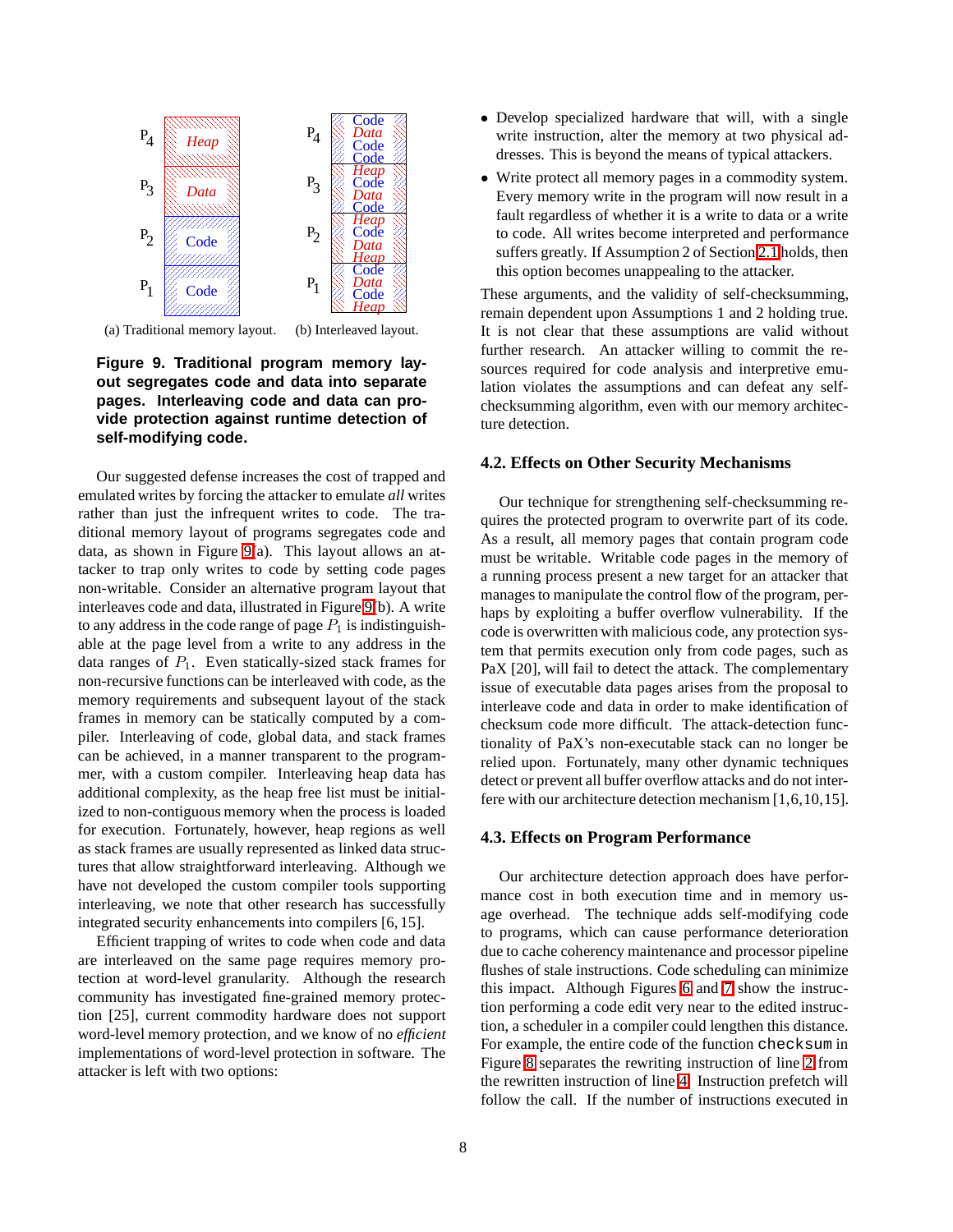

(a) Traditional memory layout. (b) Interleaved layout.

<span id="page-7-0"></span>**Figure 9. Traditional program memory layout segregates code and data into separate pages. Interleaving code and data can provide protection against runtime detection of self-modifying code.**

Our suggested defense increases the cost of trapped and emulated writes by forcing the attacker to emulate *all* writes rather than just the infrequent writes to code. The traditional memory layout of programs segregates code and data, as shown in Figure [9\(](#page-7-0)a). This layout allows an attacker to trap only writes to code by setting code pages non-writable. Consider an alternative program layout that interleaves code and data, illustrated in Figure [9\(](#page-7-0)b). A write to any address in the code range of page  $P_1$  is indistinguishable at the page level from a write to any address in the data ranges of  $P_1$ . Even statically-sized stack frames for non-recursive functions can be interleaved with code, as the memory requirements and subsequent layout of the stack frames in memory can be statically computed by a compiler. Interleaving of code, global data, and stack frames can be achieved, in a manner transparent to the programmer, with a custom compiler. Interleaving heap data has additional complexity, as the heap free list must be initialized to non-contiguous memory when the process is loaded for execution. Fortunately, however, heap regions as well as stack frames are usually represented as linked data structures that allow straightforward interleaving. Although we have not developed the custom compiler tools supporting interleaving, we note that other research has successfully integrated security enhancements into compilers [6, 15].

Efficient trapping of writes to code when code and data are interleaved on the same page requires memory protection at word-level granularity. Although the research community has investigated fine-grained memory protection [25], current commodity hardware does not support word-level memory protection, and we know of no *efficient* implementations of word-level protection in software. The attacker is left with two options:

- Develop specialized hardware that will, with a single write instruction, alter the memory at two physical addresses. This is beyond the means of typical attackers.
- Write protect all memory pages in a commodity system. Every memory write in the program will now result in a fault regardless of whether it is a write to data or a write to code. All writes become interpreted and performance suffers greatly. If Assumption 2 of Section [2.1](#page-2-2) holds, then this option becomes unappealing to the attacker.

These arguments, and the validity of self-checksumming, remain dependent upon Assumptions 1 and 2 holding true. It is not clear that these assumptions are valid without further research. An attacker willing to commit the resources required for code analysis and interpretive emulation violates the assumptions and can defeat any selfchecksumming algorithm, even with our memory architecture detection.

#### **4.2. Effects on Other Security Mechanisms**

Our technique for strengthening self-checksumming requires the protected program to overwrite part of its code. As a result, all memory pages that contain program code must be writable. Writable code pages in the memory of a running process present a new target for an attacker that manages to manipulate the control flow of the program, perhaps by exploiting a buffer overflow vulnerability. If the code is overwritten with malicious code, any protection system that permits execution only from code pages, such as PaX [20], will fail to detect the attack. The complementary issue of executable data pages arises from the proposal to interleave code and data in order to make identification of checksum code more difficult. The attack-detection functionality of PaX's non-executable stack can no longer be relied upon. Fortunately, many other dynamic techniques detect or prevent all buffer overflow attacks and do not interfere with our architecture detection mechanism [1,6,10,15].

## <span id="page-7-1"></span>**4.3. Effects on Program Performance**

Our architecture detection approach does have performance cost in both execution time and in memory usage overhead. The technique adds self-modifying code to programs, which can cause performance deterioration due to cache coherency maintenance and processor pipeline flushes of stale instructions. Code scheduling can minimize this impact. Although Figures [6](#page-4-1) and [7](#page-4-4) show the instruction performing a code edit very near to the edited instruction, a scheduler in a compiler could lengthen this distance. For example, the entire code of the function checksum in Figure [8](#page-5-0) separates the rewriting instruction of line [2](#page-5-1) from the rewritten instruction of line [4.](#page-5-2) Instruction prefetch will follow the call. If the number of instructions executed in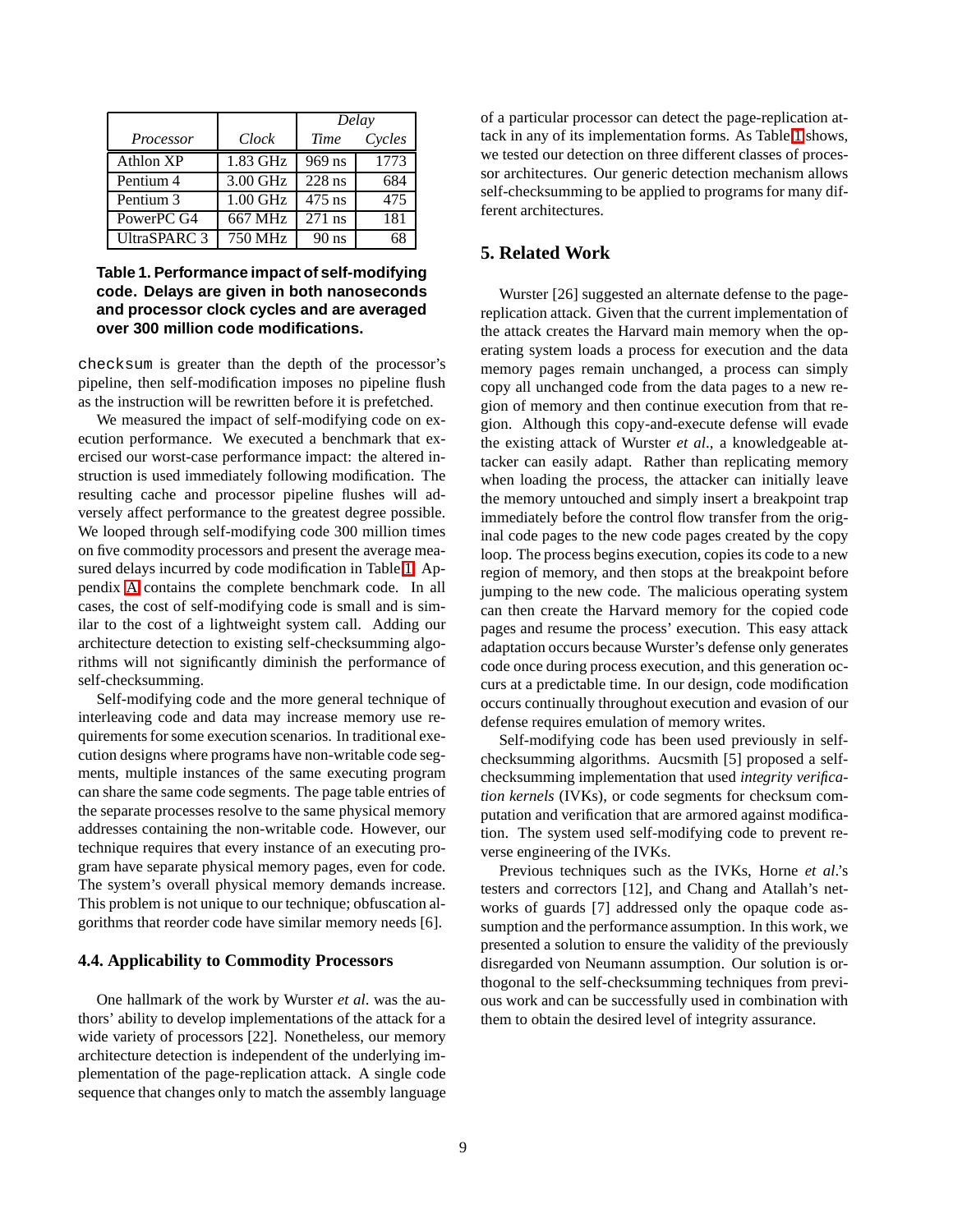|              |            | Delay    |        |
|--------------|------------|----------|--------|
| Processor    | Clock      | Time     | Cycles |
| Athlon XP    | $1.83$ GHz | 969 ns   | 1773   |
| Pentium 4    | 3.00 GHz   | $228$ ns | 684    |
| Pentium 3    | $1.00$ GHz | $475$ ns | 475    |
| PowerPC G4   | 667 MHz    | $271$ ns | 181    |
| UltraSPARC 3 | 750 MHz    | $90$ ns  | 6۶     |

## <span id="page-8-0"></span>**Table 1. Performance impact of self-modifying code. Delays are given in both nanoseconds and processor clock cycles and are averaged over 300 million code modifications.**

checksum is greater than the depth of the processor's pipeline, then self-modification imposes no pipeline flush as the instruction will be rewritten before it is prefetched.

We measured the impact of self-modifying code on execution performance. We executed a benchmark that exercised our worst-case performance impact: the altered instruction is used immediately following modification. The resulting cache and processor pipeline flushes will adversely affect performance to the greatest degree possible. We looped through self-modifying code 300 million times on five commodity processors and present the average measured delays incurred by code modification in Table [1.](#page-8-0) Appendix [A](#page-10-0) contains the complete benchmark code. In all cases, the cost of self-modifying code is small and is similar to the cost of a lightweight system call. Adding our architecture detection to existing self-checksumming algorithms will not significantly diminish the performance of self-checksumming.

Self-modifying code and the more general technique of interleaving code and data may increase memory use requirements for some execution scenarios. In traditional execution designs where programs have non-writable code segments, multiple instances of the same executing program can share the same code segments. The page table entries of the separate processes resolve to the same physical memory addresses containing the non-writable code. However, our technique requires that every instance of an executing program have separate physical memory pages, even for code. The system's overall physical memory demands increase. This problem is not unique to our technique; obfuscation algorithms that reorder code have similar memory needs [6].

#### **4.4. Applicability to Commodity Processors**

One hallmark of the work by Wurster *et al*. was the authors' ability to develop implementations of the attack for a wide variety of processors [22]. Nonetheless, our memory architecture detection is independent of the underlying implementation of the page-replication attack. A single code sequence that changes only to match the assembly language

of a particular processor can detect the page-replication attack in any of its implementation forms. As Table [1](#page-8-0) shows, we tested our detection on three different classes of processor architectures. Our generic detection mechanism allows self-checksumming to be applied to programs for many different architectures.

## **5. Related Work**

Wurster [26] suggested an alternate defense to the pagereplication attack. Given that the current implementation of the attack creates the Harvard main memory when the operating system loads a process for execution and the data memory pages remain unchanged, a process can simply copy all unchanged code from the data pages to a new region of memory and then continue execution from that region. Although this copy-and-execute defense will evade the existing attack of Wurster *et al*., a knowledgeable attacker can easily adapt. Rather than replicating memory when loading the process, the attacker can initially leave the memory untouched and simply insert a breakpoint trap immediately before the control flow transfer from the original code pages to the new code pages created by the copy loop. The process begins execution, copies its code to a new region of memory, and then stops at the breakpoint before jumping to the new code. The malicious operating system can then create the Harvard memory for the copied code pages and resume the process' execution. This easy attack adaptation occurs because Wurster's defense only generates code once during process execution, and this generation occurs at a predictable time. In our design, code modification occurs continually throughout execution and evasion of our defense requires emulation of memory writes.

Self-modifying code has been used previously in selfchecksumming algorithms. Aucsmith [5] proposed a selfchecksumming implementation that used *integrity verification kernels* (IVKs), or code segments for checksum computation and verification that are armored against modification. The system used self-modifying code to prevent reverse engineering of the IVKs.

Previous techniques such as the IVKs, Horne *et al*.'s testers and correctors [12], and Chang and Atallah's networks of guards [7] addressed only the opaque code assumption and the performance assumption. In this work, we presented a solution to ensure the validity of the previously disregarded von Neumann assumption. Our solution is orthogonal to the self-checksumming techniques from previous work and can be successfully used in combination with them to obtain the desired level of integrity assurance.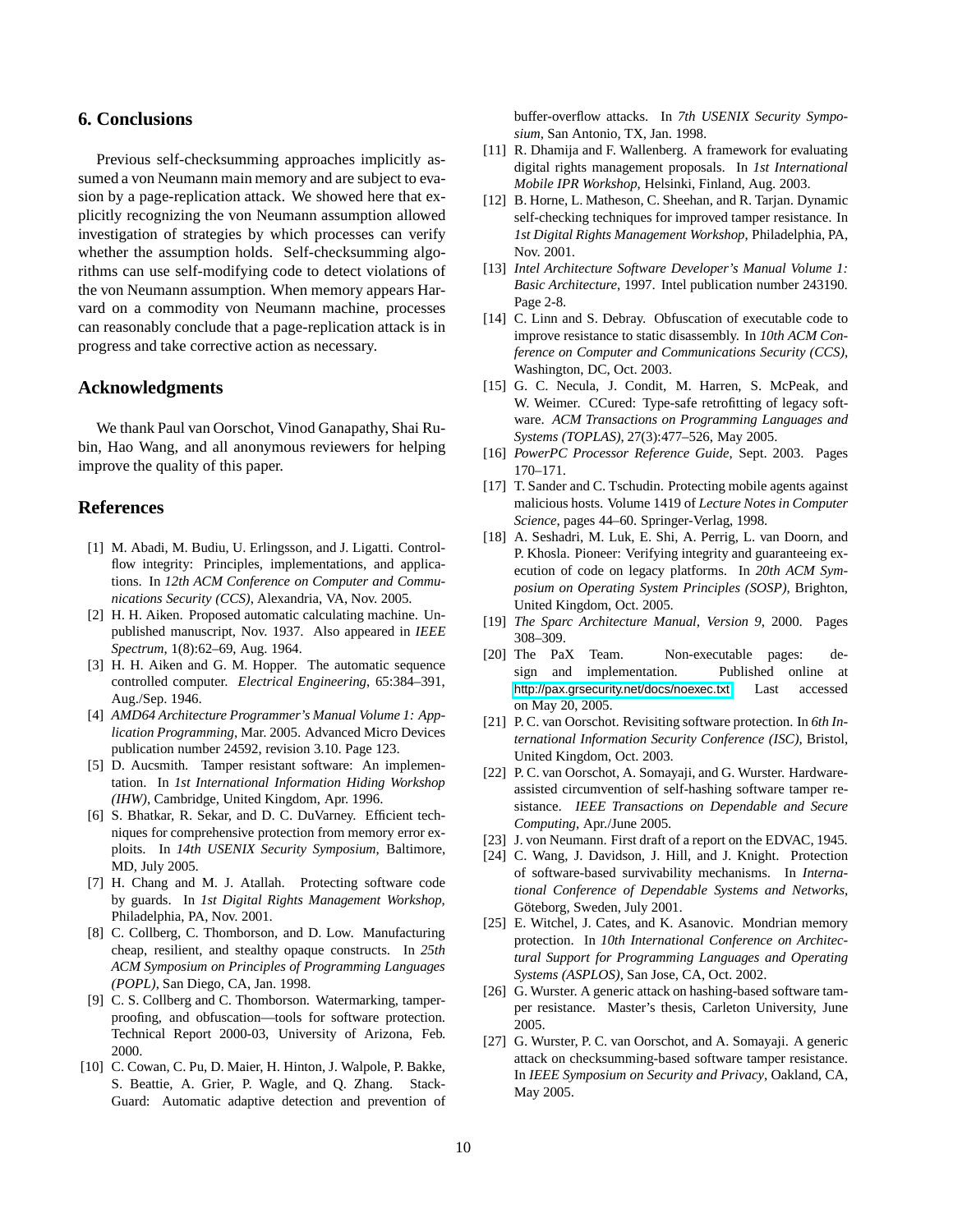## **6. Conclusions**

Previous self-checksumming approaches implicitly assumed a von Neumann main memory and are subject to evasion by a page-replication attack. We showed here that explicitly recognizing the von Neumann assumption allowed investigation of strategies by which processes can verify whether the assumption holds. Self-checksumming algorithms can use self-modifying code to detect violations of the von Neumann assumption. When memory appears Harvard on a commodity von Neumann machine, processes can reasonably conclude that a page-replication attack is in progress and take corrective action as necessary.

## **Acknowledgments**

We thank Paul van Oorschot, Vinod Ganapathy, Shai Rubin, Hao Wang, and all anonymous reviewers for helping improve the quality of this paper.

# **References**

- [1] M. Abadi, M. Budiu, U. Erlingsson, and J. Ligatti. Controlflow integrity: Principles, implementations, and applications. In *12th ACM Conference on Computer and Communications Security (CCS)*, Alexandria, VA, Nov. 2005.
- [2] H. H. Aiken. Proposed automatic calculating machine. Unpublished manuscript, Nov. 1937. Also appeared in *IEEE Spectrum*, 1(8):62–69, Aug. 1964.
- [3] H. H. Aiken and G. M. Hopper. The automatic sequence controlled computer. *Electrical Engineering*, 65:384–391, Aug./Sep. 1946.
- [4] *AMD64 Architecture Programmer's Manual Volume 1: Application Programming*, Mar. 2005. Advanced Micro Devices publication number 24592, revision 3.10. Page 123.
- [5] D. Aucsmith. Tamper resistant software: An implementation. In *1st International Information Hiding Workshop (IHW)*, Cambridge, United Kingdom, Apr. 1996.
- [6] S. Bhatkar, R. Sekar, and D. C. DuVarney. Efficient techniques for comprehensive protection from memory error exploits. In *14th USENIX Security Symposium*, Baltimore, MD, July 2005.
- [7] H. Chang and M. J. Atallah. Protecting software code by guards. In *1st Digital Rights Management Workshop*, Philadelphia, PA, Nov. 2001.
- [8] C. Collberg, C. Thomborson, and D. Low. Manufacturing cheap, resilient, and stealthy opaque constructs. In *25th ACM Symposium on Principles of Programming Languages (POPL)*, San Diego, CA, Jan. 1998.
- [9] C. S. Collberg and C. Thomborson. Watermarking, tamperproofing, and obfuscation—tools for software protection. Technical Report 2000-03, University of Arizona, Feb. 2000.
- [10] C. Cowan, C. Pu, D. Maier, H. Hinton, J. Walpole, P. Bakke, S. Beattie, A. Grier, P. Wagle, and Q. Zhang. Stack-Guard: Automatic adaptive detection and prevention of

buffer-overflow attacks. In *7th USENIX Security Symposium*, San Antonio, TX, Jan. 1998.

- [11] R. Dhamija and F. Wallenberg. A framework for evaluating digital rights management proposals. In *1st International Mobile IPR Workshop*, Helsinki, Finland, Aug. 2003.
- [12] B. Horne, L. Matheson, C. Sheehan, and R. Tarjan. Dynamic self-checking techniques for improved tamper resistance. In *1st Digital Rights Management Workshop*, Philadelphia, PA, Nov. 2001.
- [13] *Intel Architecture Software Developer's Manual Volume 1: Basic Architecture*, 1997. Intel publication number 243190. Page 2-8.
- [14] C. Linn and S. Debray. Obfuscation of executable code to improve resistance to static disassembly. In *10th ACM Conference on Computer and Communications Security (CCS)*, Washington, DC, Oct. 2003.
- [15] G. C. Necula, J. Condit, M. Harren, S. McPeak, and W. Weimer. CCured: Type-safe retrofitting of legacy software. *ACM Transactions on Programming Languages and Systems (TOPLAS)*, 27(3):477–526, May 2005.
- [16] *PowerPC Processor Reference Guide*, Sept. 2003. Pages 170–171.
- [17] T. Sander and C. Tschudin. Protecting mobile agents against malicious hosts. Volume 1419 of *Lecture Notes in Computer Science*, pages 44–60. Springer-Verlag, 1998.
- [18] A. Seshadri, M. Luk, E. Shi, A. Perrig, L. van Doorn, and P. Khosla. Pioneer: Verifying integrity and guaranteeing execution of code on legacy platforms. In *20th ACM Symposium on Operating System Principles (SOSP)*, Brighton, United Kingdom, Oct. 2005.
- [19] *The Sparc Architecture Manual, Version 9*, 2000. Pages 308–309.
- [20] The PaX Team. Non-executable pages: design and implementation. Published online at <http://pax.grsecurity.net/docs/noexec.txt>. Last accessed on May 20, 2005.
- [21] P. C. van Oorschot. Revisiting software protection. In *6th International Information Security Conference (ISC)*, Bristol, United Kingdom, Oct. 2003.
- [22] P. C. van Oorschot, A. Somayaji, and G. Wurster. Hardwareassisted circumvention of self-hashing software tamper resistance. *IEEE Transactions on Dependable and Secure Computing*, Apr./June 2005.
- [23] J. von Neumann. First draft of a report on the EDVAC, 1945.
- [24] C. Wang, J. Davidson, J. Hill, and J. Knight. Protection of software-based survivability mechanisms. In *International Conference of Dependable Systems and Networks*, Göteborg, Sweden, July 2001.
- [25] E. Witchel, J. Cates, and K. Asanovic. Mondrian memory protection. In *10th International Conference on Architectural Support for Programming Languages and Operating Systems (ASPLOS)*, San Jose, CA, Oct. 2002.
- [26] G. Wurster. A generic attack on hashing-based software tamper resistance. Master's thesis, Carleton University, June 2005.
- [27] G. Wurster, P. C. van Oorschot, and A. Somayaji. A generic attack on checksumming-based software tamper resistance. In *IEEE Symposium on Security and Privacy*, Oakland, CA, May 2005.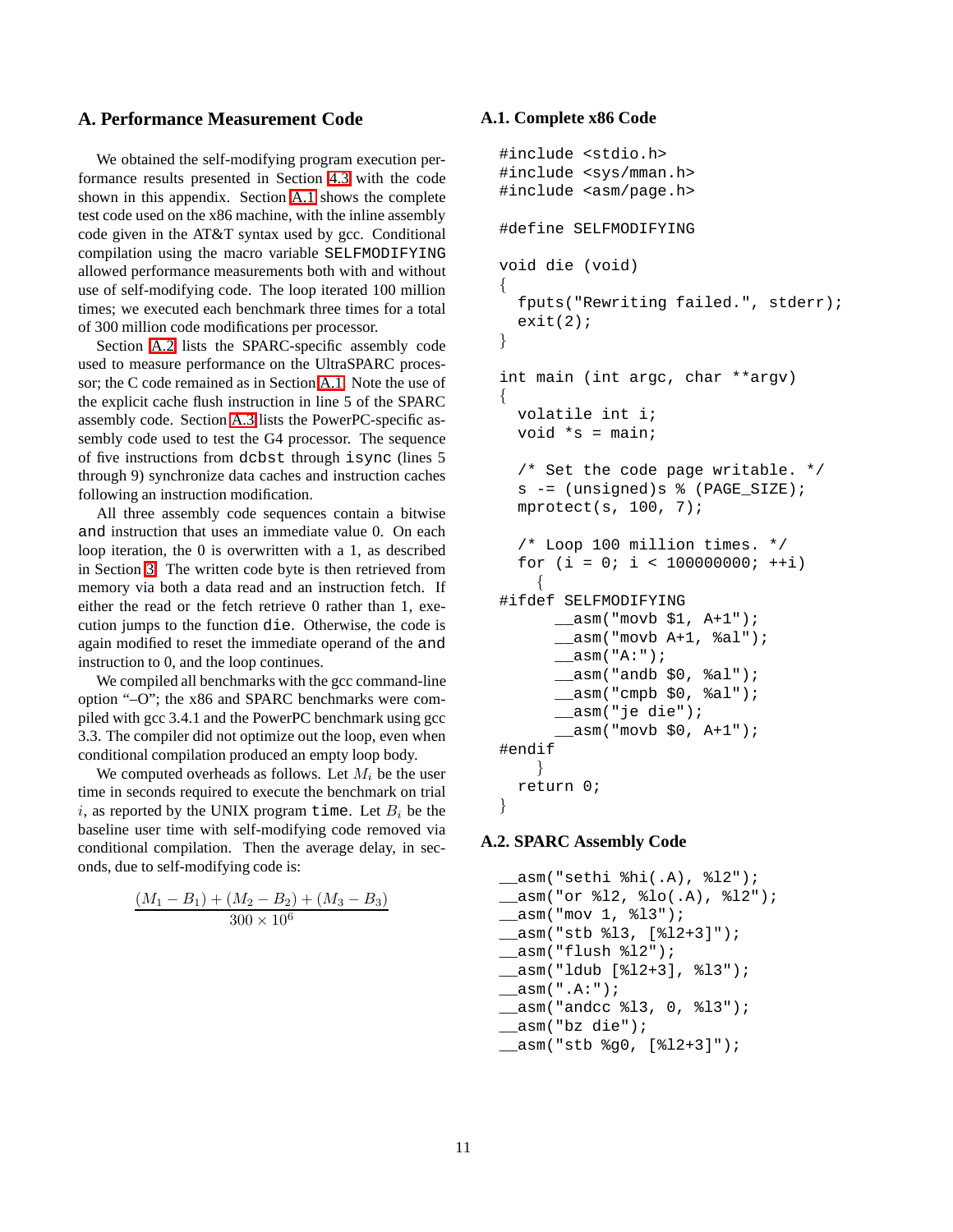# <span id="page-10-0"></span>**A. Performance Measurement Code**

We obtained the self-modifying program execution performance results presented in Section [4.3](#page-7-1) with the code shown in this appendix. Section [A.1](#page-10-1) shows the complete test code used on the x86 machine, with the inline assembly code given in the AT&T syntax used by gcc. Conditional compilation using the macro variable SELFMODIFYING allowed performance measurements both with and without use of self-modifying code. The loop iterated 100 million times; we executed each benchmark three times for a total of 300 million code modifications per processor.

Section [A.2](#page-10-2) lists the SPARC-specific assembly code used to measure performance on the UltraSPARC processor; the C code remained as in Section [A.1.](#page-10-1) Note the use of the explicit cache flush instruction in line 5 of the SPARC assembly code. Section [A.3](#page-11-0) lists the PowerPC-specific assembly code used to test the G4 processor. The sequence of five instructions from dcbst through isync (lines 5 through 9) synchronize data caches and instruction caches following an instruction modification.

All three assembly code sequences contain a bitwise and instruction that uses an immediate value 0. On each loop iteration, the 0 is overwritten with a 1, as described in Section [3.](#page-4-0) The written code byte is then retrieved from memory via both a data read and an instruction fetch. If either the read or the fetch retrieve 0 rather than 1, execution jumps to the function die. Otherwise, the code is again modified to reset the immediate operand of the and instruction to 0, and the loop continues.

We compiled all benchmarks with the gcc command-line option "–O"; the x86 and SPARC benchmarks were compiled with gcc 3.4.1 and the PowerPC benchmark using gcc 3.3. The compiler did not optimize out the loop, even when conditional compilation produced an empty loop body.

We computed overheads as follows. Let  $M_i$  be the user time in seconds required to execute the benchmark on trial i, as reported by the UNIX program time. Let  $B_i$  be the baseline user time with self-modifying code removed via conditional compilation. Then the average delay, in seconds, due to self-modifying code is:

$$
\frac{(M_1 - B_1) + (M_2 - B_2) + (M_3 - B_3)}{300 \times 10^6}
$$

## <span id="page-10-1"></span>**A.1. Complete x86 Code**

```
#include <stdio.h>
#include <sys/mman.h>
#include <asm/page.h>
#define SELFMODIFYING
void die (void)
{
  fputs("Rewriting failed.", stderr);
  exit(2);}
int main (int argc, char **argv)
{
 volatile int i;
  void *_{s} = main;
  /* Set the code page writable. */
  s -= (unsigned)s % (PAGE_SIZE);
  mprotect(s, 100, 7);
  /* Loop 100 million times. */
  for (i = 0; i < 100000000; ++i){
#ifdef SELFMODIFYING
      __asm("movb $1, A+1");
      __asm("movb A+1, %al");
      __asm("A:");
      __asm("andb $0, %al");
      \text{Lasm}("cmpb $0, %al");__asm("je die");
       asm("movb $0, A+1");
#endif
    }
 return 0;
}
```
#### <span id="page-10-2"></span>**A.2. SPARC Assembly Code**

```
__asm("sethi %hi(.A), %l2");
__asm("or %l2, %lo(.A), %l2");
__asm("mov 1, %l3");
__asm("stb %l3, [%l2+3]");
__asm("flush %l2");
__asm("ldub [%l2+3], %l3");
__asm(".A:");
__asm("andcc %l3, 0, %l3");
__asm("bz die");
__asm("stb %g0, [%l2+3]");
```